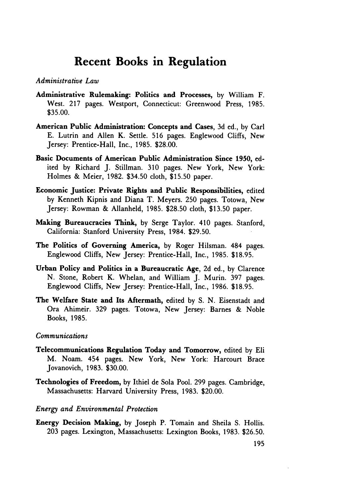# **Recent Books in Regulation**

## *Administrative Law*

- Administrative Rulemaking: Politics and Processes, **by** William F. West. **217** pages. Westport, Connecticut: Greenwood Press, 1985. \$35.00.
- American Public Administration: Concepts and Cases, **3d** ed., **by** Carl E. Lutrin and Allen K. Settle. 516 pages. Englewood Cliffs, New Jersey: Prentice-Hall, Inc., 1985. \$28.00.
- Basic Documents of American Public Administration Since **1950,** edited **by** Richard J. Stillman. **310** pages. New York, New York: Holmes **&** Meier, 1982. \$34.50 cloth, \$15.50 paper.
- Economic Justice: Private Rights and Public Responsibilities, edited **by** Kenneth Kipnis and Diana T. Meyers. 250 pages. Totowa, New Jersey: Rowman **&** Allanheld, 1985. \$28.50 cloth, \$13.50 paper.
- Making Bureaucracies Think, **by** Serge Taylor. 410 pages. Stanford, California: Stanford University Press, 1984. \$29.50.
- The Politics of Governing America, **by** Roger Hilsman. 484 pages. Englewood Cliffs, New Jersey: Prentice-Hall, Inc., 1985. \$18.95.
- Urban Policy and Politics in a Bureaucratic Age, **2d** ed., **by** Clarence N. Stone, Robert K. Whelan, and William J. Murin. **397** pages. Englewood Cliffs, New Jersey: Prentice-Hall, Inc., 1986. \$18.95.
- The Welfare State and Its Aftermath, edited **by S. N.** Eisenstadt and Ora Ahimeir. **329** pages. Totowa, New Jersey: Barnes **&** Noble Books, 1985.

## *Communications*

- Telecommunications Regulation Today and Tomorrow, edited **by** Eli M. Noam. 454 pages. New York, New York: Harcourt Brace Jovanovich, **1983.** \$30.00.
- Technologies of Freedom, **by** Ithiel de Sola Pool. 299 pages. Cambridge, Massachusetts: Harvard University Press, 1983. \$20.00.

#### *Energy and Environmental Protection*

Energy Decision Making, by Joseph P. Tomain and Sheila S. Hollis. 203 pages. Lexington, Massachusetts: Lexington Books, 1983. \$26.50.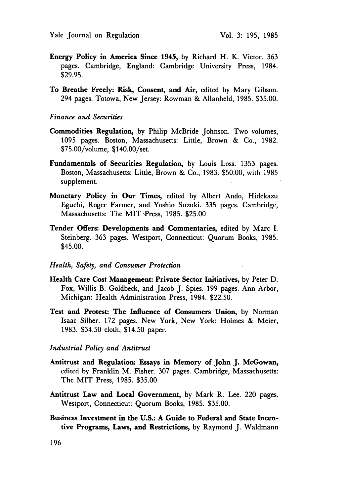- Energy Policy in America Since 1945, by Richard H. K. Vietor. 363 pages. Cambridge, England: Cambridge University Press, 1984. \$29.95.
- To Breathe Freely: Risk, Consent, and Air, edited by Mary Gibson. 294 pages. Totowa, New Jersey: Rowman & Allanheld, 1985. \$35.00.

## *Finance and Securities*

- Commodities Regulation, by Philip McBride Johnson. Two volumes, 1095 pages. Boston, Massachusetts: Little, Brown & Co., 1982. \$75.00/volume, \$140.00/set.
- Fundamentals of Securities Regulation, by Louis Loss. 1353 pages. Boston, Massachusetts: Little, Brown & Co., 1983. **\$50.00,** with 1985 supplement.
- Monetary Policy in Our Times, edited by Albert Ando, Hidekazu Eguchi, Roger Farmer, and Yoshio Suzuki. 335 pages. Cambridge, Massachusetts: The MIT Press, 1985. \$25.00
- Tender Offers: Developments and Commentaries, edited **by** Marc I. Steinberg. 363 pages. Westport, Connecticut: Quorum Books, 1985. \$45.00.

## *Health, Safety, and Consumer Protection*

- Health Care Cost Management: Private Sector Initiatives, **by** Peter **D.** Fox, Willis B. Goldbeck, and Jacob J. Spies. 199 pages. Ann Arbor, Michigan: Health Administration Press, 1984. \$22.50.
- Test and Protest: The Influence of Consumers Union, **by** Norman Isaac Silber. **172** pages. New York, New York: Holmes **&** Meier, 1983. \$34.50 cloth, \$14.50 paper.

## *Industrial Policy and Antitrust*

- Antitrust and Regulation: Essays in **Memory of John J. McGowan,** edited by Franklin M. Fisher. 307 pages. Cambridge, Massachusetts: The MIT Press, 1985. \$35.00
- Antitrust Law and Local Government, by Mark R. Lee. 220 pages. Westport, Connecticut: Quorum Books, 1985. \$35.00.
- Business Investment in the **U.S.: A** Guide to Federal and State Incentive Programs, Laws, and Restrictions, by Raymond J. Waldmann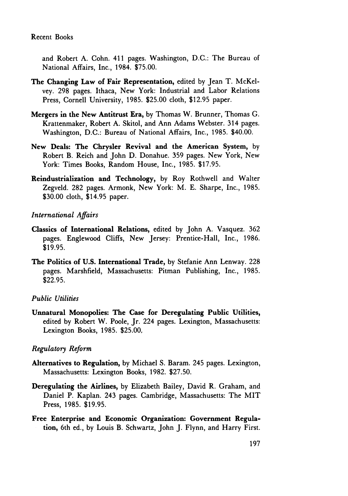and Robert A. Cohn. 411 pages. Washington, D.C.: The Bureau of National Affairs, Inc., 1984. \$75.00.

- The Changing Law of Fair Representation, edited by Jean T. McKelvey. 298 pages. Ithaca, New York: Industrial and Labor Relations Press, Cornell University, 1985. \$25.00 cloth, \$12.95 paper.
- Mergers in the New Antitrust Era, by Thomas W. Brunner, Thomas **G.** Krattenmaker, Robert A. Skitol, and Ann Adams Webster. 314 pages. Washington, D.C.: Bureau of National Affairs, Inc., 1985. \$40.00.
- New Deals: The Chrysler Revival and the American System, **by** Robert B. Reich and John D. Donahue. 359 pages. New York, New York: Times Books, Random House, Inc., 1985. \$17.95.
- Reindustrialization and Technology, by Roy Rothwell and Walter Zegveld. 282 pages. Armonk, New York: M. E. Sharpe, Inc., 1985. \$30.00 cloth, \$14.95 paper.

## *International Affairs*

- Classics of International Relations, edited **by** John **A.** Vasquez. **362** pages. Englewood Cliffs, New Jersey: Prentice-Hall, Inc., **1986. \$19.95.**
- The Politics of **U.S.** International Trade, **by** Stefanie Ann Lenway. **228** pages. Marshfield, Massachusetts: Pitman Publishing, Inc., **1985. \$22.95.**

## *Public Utilities*

Unnatural Monopolies: The Case for Deregulating Public Utilities, edited **by** Robert W. Poole, Jr. 224 pages. Lexington, Massachusetts: Lexington Books, **1985. \$25.00,**

## *Regulatory Reform*

- Alternatives to Regulation, by Michael S. Baram. 245 pages. Lexington, Massachusetts: Lexington Books, 1982. \$27.50.
- Deregulating the Airlines, by Elizabeth Bailey, David R. Graham, and Daniel P. Kaplan. 243 pages. Cambridge, Massachusetts: The MIT Press, 1985. \$19.95.
- Free Enterprise and Economic Organization: Government Regulation, 6th ed., by Louis B. Schwartz, John J. Flynn, and Harry First.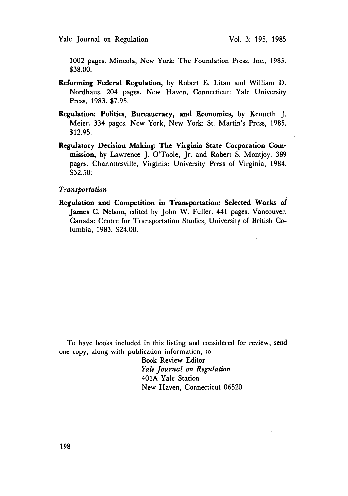Yale Journal on Regulation

1002 pages. Mineola, New York: The Foundation Press, Inc., 1985. \$38.00.

- Reforming Federal Regulation, by Robert **E.** Litan and William **D.** Nordhaus. 204 pages. New Haven, Connecticut: Yale University Press, 1983. \$7.95.
- Regulation: Politics, Bureaucracy, and Economics, **by** Kenneth **J.** Meier. 334 pages. New York, New York: St. Martin's Press, 1985. \$12.95.
- Regulatory Decision Making: The Virginia State Corporation Commission, by Lawrence J. O'Toole, Jr. and Robert S. Montjoy. 389 pages. Charlottesville, Virginia: University Press of Virginia, 1984. \$32.50:

#### *Transportation*

Regulation and Competition in Transportation: Selected Works oi James **C.** Nelson, edited **by** John W. Fuller. 441 pages. Vancouver, Canada: Centre for Transportation Studies, University of British Columbia, 1983. \$24.00.

To have books included in this listing and considered for review, send one copy, along with publication information, to:

> Book Review Editor *Yale Journal on Regulation* 401A Yale Station New Haven, Connecticut 06520